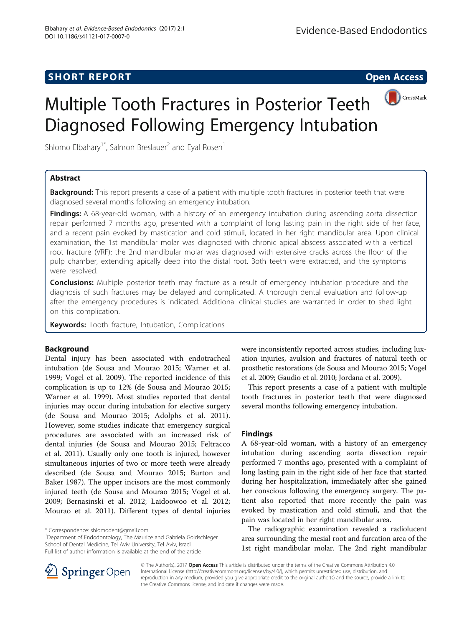# **SHORT REPORT SHORT CONSUMING THE SHORT CONSUMING THE SHORT CONSUMING THE SHORT CONSUMING THE SHORT CONSUMING THE SHORT CONSUMING THE SHORT CONSUMING THE SHORT CONSUMING THE SHORT CONSUMING THE SHORT CONSUMING THE SHORT**





Shlomo Elbahary<sup>1\*</sup>, Salmon Breslauer<sup>2</sup> and Eyal Rosen<sup>1</sup>

# Abstract

**Background:** This report presents a case of a patient with multiple tooth fractures in posterior teeth that were diagnosed several months following an emergency intubation.

Findings: A 68-year-old woman, with a history of an emergency intubation during ascending aorta dissection repair performed 7 months ago, presented with a complaint of long lasting pain in the right side of her face, and a recent pain evoked by mastication and cold stimuli, located in her right mandibular area. Upon clinical examination, the 1st mandibular molar was diagnosed with chronic apical abscess associated with a vertical root fracture (VRF); the 2nd mandibular molar was diagnosed with extensive cracks across the floor of the pulp chamber, extending apically deep into the distal root. Both teeth were extracted, and the symptoms were resolved.

**Conclusions:** Multiple posterior teeth may fracture as a result of emergency intubation procedure and the diagnosis of such fractures may be delayed and complicated. A thorough dental evaluation and follow-up after the emergency procedures is indicated. Additional clinical studies are warranted in order to shed light on this complication.

Keywords: Tooth fracture, Intubation, Complications

# Background

Dental injury has been associated with endotracheal intubation (de Sousa and Mourao [2015](#page-2-0); Warner et al. [1999](#page-2-0); Vogel et al. [2009\)](#page-2-0). The reported incidence of this complication is up to 12% (de Sousa and Mourao [2015](#page-2-0); Warner et al. [1999\)](#page-2-0). Most studies reported that dental injuries may occur during intubation for elective surgery (de Sousa and Mourao [2015;](#page-2-0) Adolphs et al. [2011](#page-2-0)). However, some studies indicate that emergency surgical procedures are associated with an increased risk of dental injuries (de Sousa and Mourao [2015](#page-2-0); Feltracco et al. [2011\)](#page-2-0). Usually only one tooth is injured, however simultaneous injuries of two or more teeth were already described (de Sousa and Mourao [2015;](#page-2-0) Burton and Baker [1987\)](#page-2-0). The upper incisors are the most commonly injured teeth (de Sousa and Mourao [2015](#page-2-0); Vogel et al. [2009](#page-2-0); Bernasinski et al. [2012](#page-2-0); Laidoowoo et al. [2012](#page-2-0); Mourao et al. [2011](#page-2-0)). Different types of dental injuries

<sup>1</sup>Department of Endodontology, The Maurice and Gabriela Goldschleger School of Dental Medicine, Tel Aviv University, Tel Aviv, Israel Full list of author information is available at the end of the article

were inconsistently reported across studies, including luxation injuries, avulsion and fractures of natural teeth or prosthetic restorations (de Sousa and Mourao [2015;](#page-2-0) Vogel et al. [2009](#page-2-0); Gaudio et al. [2010;](#page-2-0) Jordana et al. [2009\)](#page-2-0).

This report presents a case of a patient with multiple tooth fractures in posterior teeth that were diagnosed several months following emergency intubation.

# Findings

A 68-year-old woman, with a history of an emergency intubation during ascending aorta dissection repair performed 7 months ago, presented with a complaint of long lasting pain in the right side of her face that started during her hospitalization, immediately after she gained her conscious following the emergency surgery. The patient also reported that more recently the pain was evoked by mastication and cold stimuli, and that the pain was located in her right mandibular area.

The radiographic examination revealed a radiolucent area surrounding the mesial root and furcation area of the 1st right mandibular molar. The 2nd right mandibular



© The Author(s). 2017 **Open Access** This article is distributed under the terms of the Creative Commons Attribution 4.0 International License ([http://creativecommons.org/licenses/by/4.0/\)](http://creativecommons.org/licenses/by/4.0/), which permits unrestricted use, distribution, and reproduction in any medium, provided you give appropriate credit to the original author(s) and the source, provide a link to the Creative Commons license, and indicate if changes were made.

<sup>\*</sup> Correspondence: [shlomodent@gmail.com](mailto:shlomodent@gmail.com) <sup>1</sup>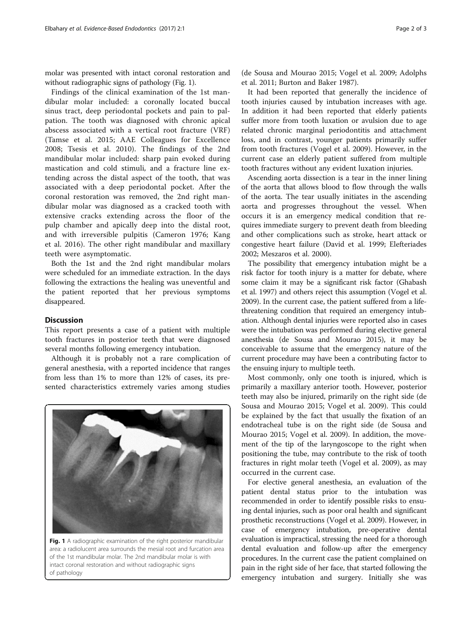molar was presented with intact coronal restoration and without radiographic signs of pathology (Fig. 1).

Findings of the clinical examination of the 1st mandibular molar included: a coronally located buccal sinus tract, deep periodontal pockets and pain to palpation. The tooth was diagnosed with chronic apical abscess associated with a vertical root fracture (VRF) (Tamse et al. [2015](#page-2-0); AAE Colleagues for Excellence [2008;](#page-2-0) Tsesis et al. [2010](#page-2-0)). The findings of the 2nd mandibular molar included: sharp pain evoked during mastication and cold stimuli, and a fracture line extending across the distal aspect of the tooth, that was associated with a deep periodontal pocket. After the coronal restoration was removed, the 2nd right mandibular molar was diagnosed as a cracked tooth with extensive cracks extending across the floor of the pulp chamber and apically deep into the distal root, and with irreversible pulpitis (Cameron [1976;](#page-2-0) Kang et al. [2016\)](#page-2-0). The other right mandibular and maxillary teeth were asymptomatic.

Both the 1st and the 2nd right mandibular molars were scheduled for an immediate extraction. In the days following the extractions the healing was uneventful and the patient reported that her previous symptoms disappeared.

# **Discussion**

This report presents a case of a patient with multiple tooth fractures in posterior teeth that were diagnosed several months following emergency intubation.

Although it is probably not a rare complication of general anesthesia, with a reported incidence that ranges from less than 1% to more than 12% of cases, its presented characteristics extremely varies among studies



area: a radiolucent area surrounds the mesial root and furcation area of the 1st mandibular molar. The 2nd mandibular molar is with intact coronal restoration and without radiographic signs of pathology

(de Sousa and Mourao [2015;](#page-2-0) Vogel et al. [2009;](#page-2-0) Adolphs et al. [2011;](#page-2-0) Burton and Baker [1987](#page-2-0)).

It had been reported that generally the incidence of tooth injuries caused by intubation increases with age. In addition it had been reported that elderly patients suffer more from tooth luxation or avulsion due to age related chronic marginal periodontitis and attachment loss, and in contrast, younger patients primarily suffer from tooth fractures (Vogel et al. [2009\)](#page-2-0). However, in the current case an elderly patient suffered from multiple tooth fractures without any evident luxation injuries.

Ascending aorta dissection is a tear in the inner lining of the aorta that allows blood to flow through the walls of the aorta. The tear usually initiates in the ascending aorta and progresses throughout the vessel. When occurs it is an emergency medical condition that requires immediate surgery to prevent death from bleeding and other complications such as stroke, heart attack or congestive heart failure (David et al. [1999;](#page-2-0) Elefteriades [2002](#page-2-0); Meszaros et al. [2000](#page-2-0)).

The possibility that emergency intubation might be a risk factor for tooth injury is a matter for debate, where some claim it may be a significant risk factor (Ghabash et al. [1997](#page-2-0)) and others reject this assumption (Vogel et al. [2009\)](#page-2-0). In the current case, the patient suffered from a lifethreatening condition that required an emergency intubation. Although dental injuries were reported also in cases were the intubation was performed during elective general anesthesia (de Sousa and Mourao [2015](#page-2-0)), it may be conceivable to assume that the emergency nature of the current procedure may have been a contributing factor to the ensuing injury to multiple teeth.

Most commonly, only one tooth is injured, which is primarily a maxillary anterior tooth. However, posterior teeth may also be injured, primarily on the right side (de Sousa and Mourao [2015](#page-2-0); Vogel et al. [2009\)](#page-2-0). This could be explained by the fact that usually the fixation of an endotracheal tube is on the right side (de Sousa and Mourao [2015;](#page-2-0) Vogel et al. [2009](#page-2-0)). In addition, the movement of the tip of the laryngoscope to the right when positioning the tube, may contribute to the risk of tooth fractures in right molar teeth (Vogel et al. [2009](#page-2-0)), as may occurred in the current case.

For elective general anesthesia, an evaluation of the patient dental status prior to the intubation was recommended in order to identify possible risks to ensuing dental injuries, such as poor oral health and significant prosthetic reconstructions (Vogel et al. [2009\)](#page-2-0). However, in case of emergency intubation, pre-operative dental evaluation is impractical, stressing the need for a thorough dental evaluation and follow-up after the emergency procedures. In the current case the patient complained on pain in the right side of her face, that started following the emergency intubation and surgery. Initially she was